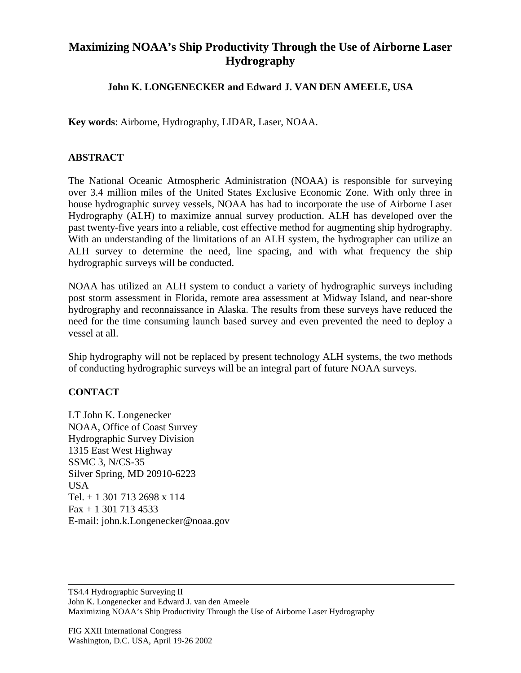## **Maximizing NOAA's Ship Productivity Through the Use of Airborne Laser Hydrography**

## **John K. LONGENECKER and Edward J. VAN DEN AMEELE, USA**

**Key words**: Airborne, Hydrography, LIDAR, Laser, NOAA.

## **ABSTRACT**

The National Oceanic Atmospheric Administration (NOAA) is responsible for surveying over 3.4 million miles of the United States Exclusive Economic Zone. With only three in house hydrographic survey vessels, NOAA has had to incorporate the use of Airborne Laser Hydrography (ALH) to maximize annual survey production. ALH has developed over the past twenty-five years into a reliable, cost effective method for augmenting ship hydrography. With an understanding of the limitations of an ALH system, the hydrographer can utilize an ALH survey to determine the need, line spacing, and with what frequency the ship hydrographic surveys will be conducted.

NOAA has utilized an ALH system to conduct a variety of hydrographic surveys including post storm assessment in Florida, remote area assessment at Midway Island, and near-shore hydrography and reconnaissance in Alaska. The results from these surveys have reduced the need for the time consuming launch based survey and even prevented the need to deploy a vessel at all.

Ship hydrography will not be replaced by present technology ALH systems, the two methods of conducting hydrographic surveys will be an integral part of future NOAA surveys.

## **CONTACT**

LT John K. Longenecker NOAA, Office of Coast Survey Hydrographic Survey Division 1315 East West Highway SSMC 3, N/CS-35 Silver Spring, MD 20910-6223 USA Tel. + 1 301 713 2698 x 114 Fax + 1 301 713 4533 E-mail: john.k.Longenecker@noaa.gov

TS4.4 Hydrographic Surveying II John K. Longenecker and Edward J. van den Ameele Maximizing NOAA's Ship Productivity Through the Use of Airborne Laser Hydrography